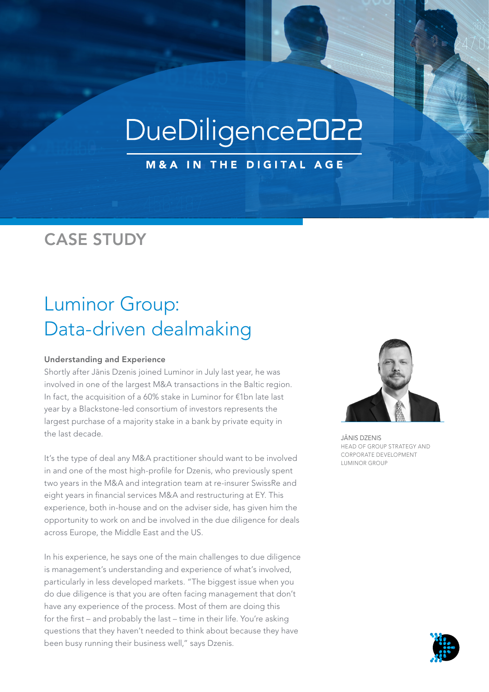# DueDiligence2022

M&A IN THE DIGITAL AGE

### CASE STUDY

## Luminor Group: Data-driven dealmaking

#### Understanding and Experience

Shortly after Jānis Dzenis joined Luminor in July last year, he was involved in one of the largest M&A transactions in the Baltic region. In fact, the acquisition of a 60% stake in Luminor for €1bn late last year by a Blackstone-led consortium of investors represents the largest purchase of a majority stake in a bank by private equity in the last decade.

It's the type of deal any M&A practitioner should want to be involved in and one of the most high-profile for Dzenis, who previously spent two years in the M&A and integration team at re-insurer SwissRe and eight years in financial services M&A and restructuring at EY. This experience, both in-house and on the adviser side, has given him the opportunity to work on and be involved in the due diligence for deals across Europe, the Middle East and the US.

In his experience, he says one of the main challenges to due diligence is management's understanding and experience of what's involved, particularly in less developed markets. "The biggest issue when you do due diligence is that you are often facing management that don't have any experience of the process. Most of them are doing this for the first – and probably the last – time in their life. You're asking questions that they haven't needed to think about because they have been busy running their business well," says Dzenis.



**JĀNIS DZENIS** HEAD OF GROUP STRATEGY AND CORPORATE DEVELOPMENT LUMINOR GROUP